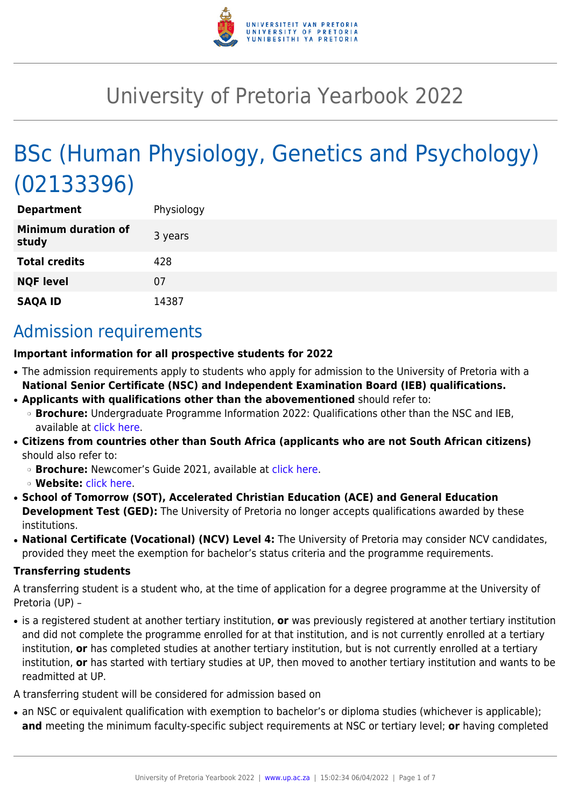

# University of Pretoria Yearbook 2022

# BSc (Human Physiology, Genetics and Psychology) (02133396)

| <b>Department</b>                   | Physiology |
|-------------------------------------|------------|
| <b>Minimum duration of</b><br>study | 3 years    |
| <b>Total credits</b>                | 428        |
| <b>NQF level</b>                    | 07         |
| <b>SAQA ID</b>                      | 14387      |

## Admission requirements

### **Important information for all prospective students for 2022**

- The admission requirements apply to students who apply for admission to the University of Pretoria with a **National Senior Certificate (NSC) and Independent Examination Board (IEB) qualifications.**
- **Applicants with qualifications other than the abovementioned** should refer to: ❍ **Brochure:** Undergraduate Programme Information 2022: Qualifications other than the NSC and IEB, available at [click here.](https://www.up.ac.za/students/article/2749263/admission-information)
- **Citizens from countries other than South Africa (applicants who are not South African citizens)** should also refer to:
	- ❍ **Brochure:** Newcomer's Guide 2021, available at [click here.](https://www.up.ac.za/students/article/2749263/admission-information)
	- ❍ **Website:** [click here](http://www.up.ac.za/international-cooperation-division).
- **School of Tomorrow (SOT), Accelerated Christian Education (ACE) and General Education Development Test (GED):** The University of Pretoria no longer accepts qualifications awarded by these institutions.
- **National Certificate (Vocational) (NCV) Level 4:** The University of Pretoria may consider NCV candidates, provided they meet the exemption for bachelor's status criteria and the programme requirements.

#### **Transferring students**

A transferring student is a student who, at the time of application for a degree programme at the University of Pretoria (UP) –

● is a registered student at another tertiary institution, **or** was previously registered at another tertiary institution and did not complete the programme enrolled for at that institution, and is not currently enrolled at a tertiary institution, **or** has completed studies at another tertiary institution, but is not currently enrolled at a tertiary institution, **or** has started with tertiary studies at UP, then moved to another tertiary institution and wants to be readmitted at UP.

A transferring student will be considered for admission based on

• an NSC or equivalent qualification with exemption to bachelor's or diploma studies (whichever is applicable); **and** meeting the minimum faculty-specific subject requirements at NSC or tertiary level; **or** having completed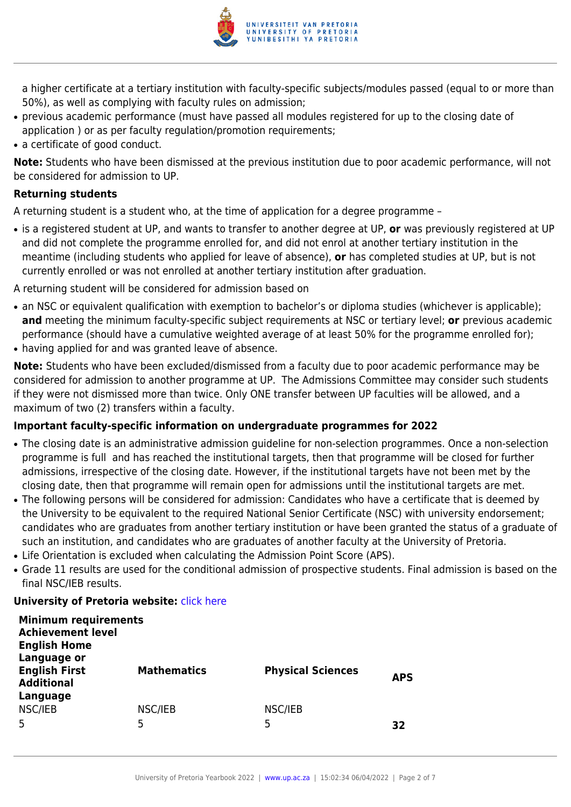

a higher certificate at a tertiary institution with faculty-specific subjects/modules passed (equal to or more than 50%), as well as complying with faculty rules on admission;

- previous academic performance (must have passed all modules registered for up to the closing date of application ) or as per faculty regulation/promotion requirements;
- a certificate of good conduct.

**Note:** Students who have been dismissed at the previous institution due to poor academic performance, will not be considered for admission to UP.

### **Returning students**

A returning student is a student who, at the time of application for a degree programme –

● is a registered student at UP, and wants to transfer to another degree at UP, **or** was previously registered at UP and did not complete the programme enrolled for, and did not enrol at another tertiary institution in the meantime (including students who applied for leave of absence), **or** has completed studies at UP, but is not currently enrolled or was not enrolled at another tertiary institution after graduation.

A returning student will be considered for admission based on

- an NSC or equivalent qualification with exemption to bachelor's or diploma studies (whichever is applicable); **and** meeting the minimum faculty-specific subject requirements at NSC or tertiary level; **or** previous academic performance (should have a cumulative weighted average of at least 50% for the programme enrolled for);
- having applied for and was granted leave of absence.

**Note:** Students who have been excluded/dismissed from a faculty due to poor academic performance may be considered for admission to another programme at UP. The Admissions Committee may consider such students if they were not dismissed more than twice. Only ONE transfer between UP faculties will be allowed, and a maximum of two (2) transfers within a faculty.

#### **Important faculty-specific information on undergraduate programmes for 2022**

- The closing date is an administrative admission guideline for non-selection programmes. Once a non-selection programme is full and has reached the institutional targets, then that programme will be closed for further admissions, irrespective of the closing date. However, if the institutional targets have not been met by the closing date, then that programme will remain open for admissions until the institutional targets are met.
- The following persons will be considered for admission: Candidates who have a certificate that is deemed by the University to be equivalent to the required National Senior Certificate (NSC) with university endorsement; candidates who are graduates from another tertiary institution or have been granted the status of a graduate of such an institution, and candidates who are graduates of another faculty at the University of Pretoria.
- Life Orientation is excluded when calculating the Admission Point Score (APS).
- Grade 11 results are used for the conditional admission of prospective students. Final admission is based on the final NSC/IEB results.

### **University of Pretoria website: [click here](http://www.up.ac.za/nas)**

| <b>Minimum requirements</b><br><b>Achievement level</b><br><b>English Home</b> |                    |                          |            |
|--------------------------------------------------------------------------------|--------------------|--------------------------|------------|
| Language or<br><b>English First</b><br><b>Additional</b><br>Language           | <b>Mathematics</b> | <b>Physical Sciences</b> | <b>APS</b> |
| NSC/IEB<br>5                                                                   | NSC/IEB<br>5       | NSC/IEB<br>5             | 32         |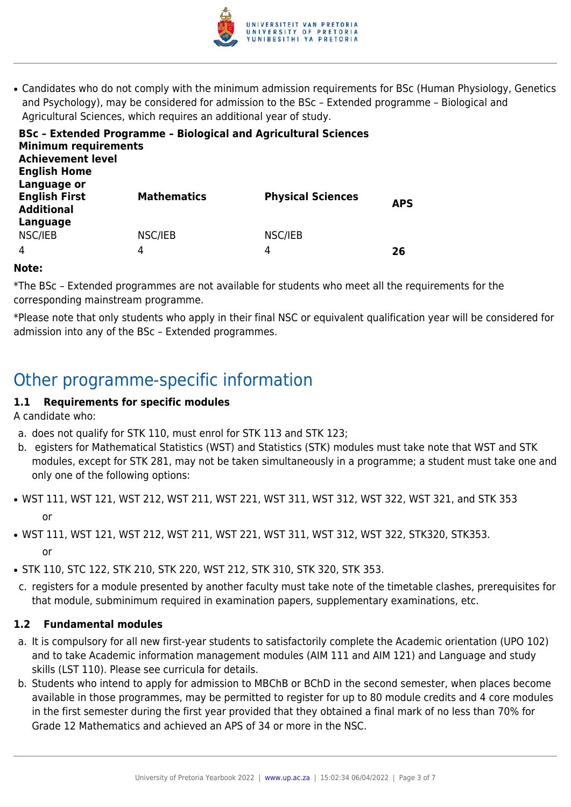

• Candidates who do not comply with the minimum admission requirements for BSc (Human Physiology, Genetics and Psychology), may be considered for admission to the BSc – Extended programme – Biological and Agricultural Sciences, which requires an additional year of study.

| <b>Minimum requirements</b><br><b>Achievement level</b><br><b>English Home</b> | <b>BSc - Extended Programme - Biological and Agricultural Sciences</b> |                          |            |
|--------------------------------------------------------------------------------|------------------------------------------------------------------------|--------------------------|------------|
| Language or<br><b>English First</b><br><b>Additional</b>                       | <b>Mathematics</b>                                                     | <b>Physical Sciences</b> | <b>APS</b> |
| Language<br>NSC/IEB<br>$\overline{4}$                                          | NSC/IEB<br>4                                                           | NSC/IEB<br>4             | 26         |

#### **Note:**

\*The BSc – Extended programmes are not available for students who meet all the requirements for the corresponding mainstream programme.

\*Please note that only students who apply in their final NSC or equivalent qualification year will be considered for admission into any of the BSc – Extended programmes.

### Other programme-specific information

### **1.1 Requirements for specific modules**

A candidate who:

- a. does not qualify for STK 110, must enrol for STK 113 and STK 123;
- b. egisters for Mathematical Statistics (WST) and Statistics (STK) modules must take note that WST and STK modules, except for STK 281, may not be taken simultaneously in a programme; a student must take one and only one of the following options:
- WST 111, WST 121, WST 212, WST 211, WST 221, WST 311, WST 312, WST 322, WST 321, and STK 353 or
- WST 111, WST 121, WST 212, WST 211, WST 221, WST 311, WST 312, WST 322, STK320, STK353. or
- STK 110, STC 122, STK 210, STK 220, WST 212, STK 310, STK 320, STK 353.
- c. registers for a module presented by another faculty must take note of the timetable clashes, prerequisites for that module, subminimum required in examination papers, supplementary examinations, etc.

#### **1.2 Fundamental modules**

- a. It is compulsory for all new first-year students to satisfactorily complete the Academic orientation (UPO 102) and to take Academic information management modules (AIM 111 and AIM 121) and Language and study skills (LST 110). Please see curricula for details.
- b. Students who intend to apply for admission to MBChB or BChD in the second semester, when places become available in those programmes, may be permitted to register for up to 80 module credits and 4 core modules in the first semester during the first year provided that they obtained a final mark of no less than 70% for Grade 12 Mathematics and achieved an APS of 34 or more in the NSC.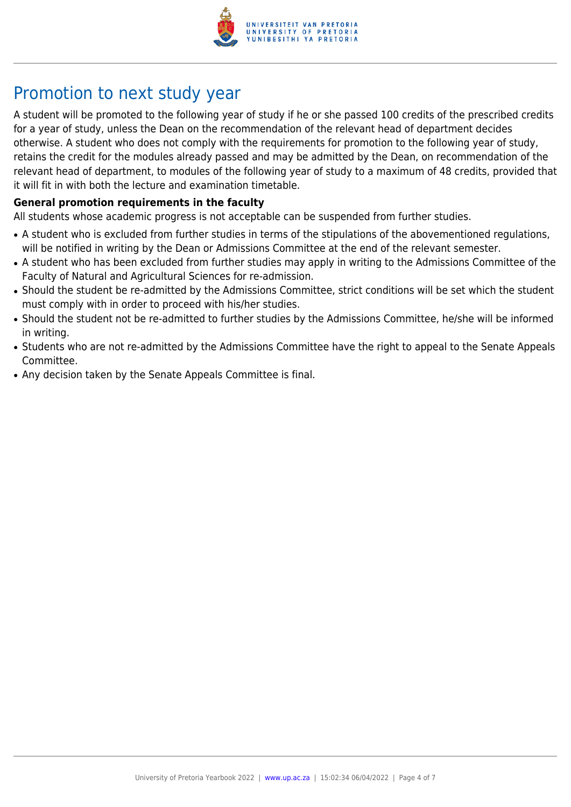

# Promotion to next study year

A student will be promoted to the following year of study if he or she passed 100 credits of the prescribed credits for a year of study, unless the Dean on the recommendation of the relevant head of department decides otherwise. A student who does not comply with the requirements for promotion to the following year of study, retains the credit for the modules already passed and may be admitted by the Dean, on recommendation of the relevant head of department, to modules of the following year of study to a maximum of 48 credits, provided that it will fit in with both the lecture and examination timetable.

#### **General promotion requirements in the faculty**

All students whose academic progress is not acceptable can be suspended from further studies.

- A student who is excluded from further studies in terms of the stipulations of the abovementioned regulations, will be notified in writing by the Dean or Admissions Committee at the end of the relevant semester.
- A student who has been excluded from further studies may apply in writing to the Admissions Committee of the Faculty of Natural and Agricultural Sciences for re-admission.
- Should the student be re-admitted by the Admissions Committee, strict conditions will be set which the student must comply with in order to proceed with his/her studies.
- Should the student not be re-admitted to further studies by the Admissions Committee, he/she will be informed in writing.
- Students who are not re-admitted by the Admissions Committee have the right to appeal to the Senate Appeals Committee.
- Any decision taken by the Senate Appeals Committee is final.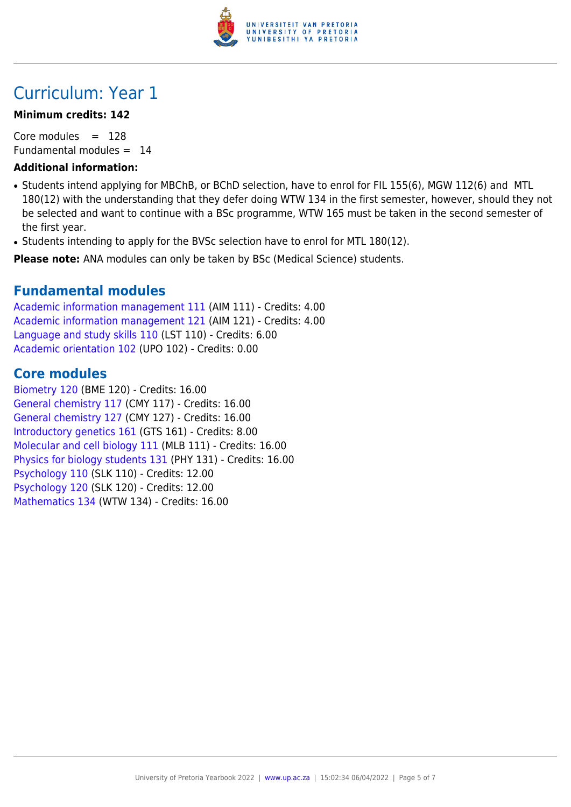

# Curriculum: Year 1

### **Minimum credits: 142**

Core modules  $= 128$ Fundamental modules  $= 14$ 

### **Additional information:**

- Students intend applying for MBChB, or BChD selection, have to enrol for FIL 155(6), MGW 112(6) and MTL 180(12) with the understanding that they defer doing WTW 134 in the first semester, however, should they not be selected and want to continue with a BSc programme, WTW 165 must be taken in the second semester of the first year.
- Students intending to apply for the BVSc selection have to enrol for MTL 180(12).

**Please note:** ANA modules can only be taken by BSc (Medical Science) students.

### **Fundamental modules**

[Academic information management 111](https://www.up.ac.za/yearbooks/2022/modules/view/AIM 111) (AIM 111) - Credits: 4.00 [Academic information management 121](https://www.up.ac.za/yearbooks/2022/modules/view/AIM 121) (AIM 121) - Credits: 4.00 [Language and study skills 110](https://www.up.ac.za/yearbooks/2022/modules/view/LST 110) (LST 110) - Credits: 6.00 [Academic orientation 102](https://www.up.ac.za/yearbooks/2022/modules/view/UPO 102) (UPO 102) - Credits: 0.00

### **Core modules**

[Biometry 120](https://www.up.ac.za/yearbooks/2022/modules/view/BME 120) (BME 120) - Credits: 16.00 [General chemistry 117](https://www.up.ac.za/yearbooks/2022/modules/view/CMY 117) (CMY 117) - Credits: 16.00 [General chemistry 127](https://www.up.ac.za/yearbooks/2022/modules/view/CMY 127) (CMY 127) - Credits: 16.00 [Introductory genetics 161](https://www.up.ac.za/yearbooks/2022/modules/view/GTS 161) (GTS 161) - Credits: 8.00 [Molecular and cell biology 111](https://www.up.ac.za/yearbooks/2022/modules/view/MLB 111) (MLB 111) - Credits: 16.00 [Physics for biology students 131](https://www.up.ac.za/yearbooks/2022/modules/view/PHY 131) (PHY 131) - Credits: 16.00 [Psychology 110](https://www.up.ac.za/yearbooks/2022/modules/view/SLK 110) (SLK 110) - Credits: 12.00 [Psychology 120](https://www.up.ac.za/yearbooks/2022/modules/view/SLK 120) (SLK 120) - Credits: 12.00 [Mathematics 134](https://www.up.ac.za/yearbooks/2022/modules/view/WTW 134) (WTW 134) - Credits: 16.00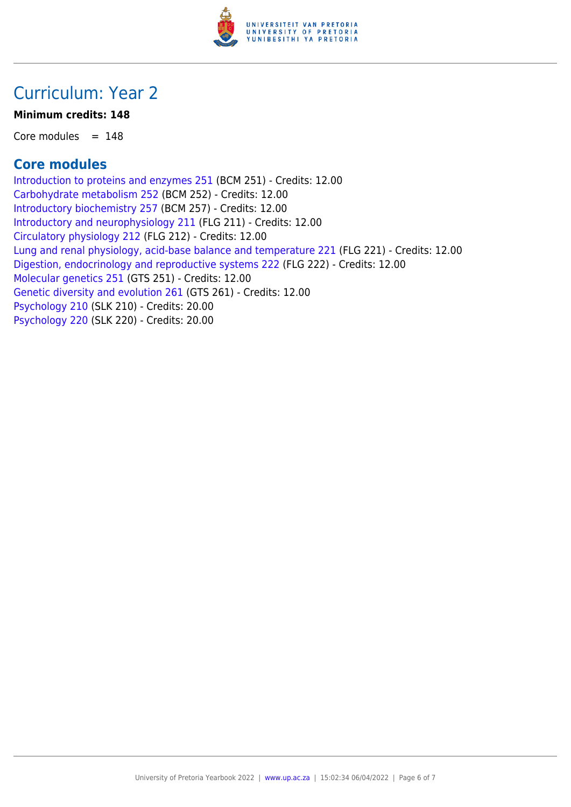

## Curriculum: Year 2

### **Minimum credits: 148**

Core modules  $= 148$ 

### **Core modules**

[Introduction to proteins and enzymes 251](https://www.up.ac.za/yearbooks/2022/modules/view/BCM 251) (BCM 251) - Credits: 12.00 [Carbohydrate metabolism 252](https://www.up.ac.za/yearbooks/2022/modules/view/BCM 252) (BCM 252) - Credits: 12.00 [Introductory biochemistry 257](https://www.up.ac.za/yearbooks/2022/modules/view/BCM 257) (BCM 257) - Credits: 12.00 [Introductory and neurophysiology 211](https://www.up.ac.za/yearbooks/2022/modules/view/FLG 211) (FLG 211) - Credits: 12.00 [Circulatory physiology 212](https://www.up.ac.za/yearbooks/2022/modules/view/FLG 212) (FLG 212) - Credits: 12.00 [Lung and renal physiology, acid-base balance and temperature 221](https://www.up.ac.za/yearbooks/2022/modules/view/FLG 221) (FLG 221) - Credits: 12.00 [Digestion, endocrinology and reproductive systems 222](https://www.up.ac.za/yearbooks/2022/modules/view/FLG 222) (FLG 222) - Credits: 12.00 [Molecular genetics 251](https://www.up.ac.za/yearbooks/2022/modules/view/GTS 251) (GTS 251) - Credits: 12.00 [Genetic diversity and evolution 261](https://www.up.ac.za/yearbooks/2022/modules/view/GTS 261) (GTS 261) - Credits: 12.00 [Psychology 210](https://www.up.ac.za/yearbooks/2022/modules/view/SLK 210) (SLK 210) - Credits: 20.00 [Psychology 220](https://www.up.ac.za/yearbooks/2022/modules/view/SLK 220) (SLK 220) - Credits: 20.00